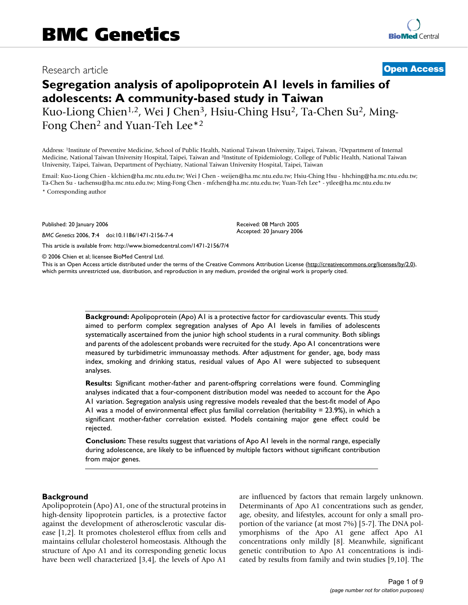# Research article **[Open Access](http://www.biomedcentral.com/info/about/charter/)**

# **Segregation analysis of apolipoprotein A1 levels in families of adolescents: A community-based study in Taiwan** Kuo-Liong Chien<sup>1,2</sup>, Wei J Chen<sup>3</sup>, Hsiu-Ching Hsu<sup>2</sup>, Ta-Chen Su<sup>2</sup>, Ming-Fong Chen2 and Yuan-Teh Lee\*2

Address: 1Institute of Preventive Medicine, School of Public Health, National Taiwan University, Taipei, Taiwan, 2Department of Internal Medicine, National Taiwan University Hospital, Taipei, Taiwan and 3Institute of Epidemiology, College of Public Health, National Taiwan University, Taipei, Taiwan, Department of Psychiatry, National Taiwan University Hospital, Taipei, Taiwan

Email: Kuo-Liong Chien - klchien@ha.mc.ntu.edu.tw; Wei J Chen - weijen@ha.mc.ntu.edu.tw; Hsiu-Ching Hsu - hhching@ha.mc.ntu.edu.tw; Ta-Chen Su - tachensu@ha.mc.ntu.edu.tw; Ming-Fong Chen - mfchen@ha.mc.ntu.edu.tw; Yuan-Teh Lee\* - ytlee@ha.mc.ntu.edu.tw \* Corresponding author

> Received: 08 March 2005 Accepted: 20 January 2006

Published: 20 January 2006

*BMC Genetics* 2006, **7**:4 doi:10.1186/1471-2156-7-4

[This article is available from: http://www.biomedcentral.com/1471-2156/7/4](http://www.biomedcentral.com/1471-2156/7/4)

© 2006 Chien et al; licensee BioMed Central Ltd.

This is an Open Access article distributed under the terms of the Creative Commons Attribution License [\(http://creativecommons.org/licenses/by/2.0\)](http://creativecommons.org/licenses/by/2.0), which permits unrestricted use, distribution, and reproduction in any medium, provided the original work is properly cited.

> **Background:** Apolipoprotein (Apo) A1 is a protective factor for cardiovascular events. This study aimed to perform complex segregation analyses of Apo A1 levels in families of adolescents systematically ascertained from the junior high school students in a rural community. Both siblings and parents of the adolescent probands were recruited for the study. Apo A1 concentrations were measured by turbidimetric immunoassay methods. After adjustment for gender, age, body mass index, smoking and drinking status, residual values of Apo A1 were subjected to subsequent analyses.

> **Results:** Significant mother-father and parent-offspring correlations were found. Commingling analyses indicated that a four-component distribution model was needed to account for the Apo A1 variation. Segregation analysis using regressive models revealed that the best-fit model of Apo A1 was a model of environmental effect plus familial correlation (heritability = 23.9%), in which a significant mother-father correlation existed. Models containing major gene effect could be rejected.

> **Conclusion:** These results suggest that variations of Apo A1 levels in the normal range, especially during adolescence, are likely to be influenced by multiple factors without significant contribution from major genes.

## **Background**

Apolipoprotein (Apo) A1, one of the structural proteins in high-density lipoprotein particles, is a protective factor against the development of atherosclerotic vascular disease [1,2]. It promotes cholesterol efflux from cells and maintains cellular cholesterol homeostasis. Although the structure of Apo A1 and its corresponding genetic locus have been well characterized [3,4], the levels of Apo A1

are influenced by factors that remain largely unknown. Determinants of Apo A1 concentrations such as gender, age, obesity, and lifestyles, account for only a small proportion of the variance (at most 7%) [5-7]. The DNA polymorphisms of the Apo A1 gene affect Apo A1 concentrations only mildly [8]. Meanwhile, significant genetic contribution to Apo A1 concentrations is indicated by results from family and twin studies [9,10]. The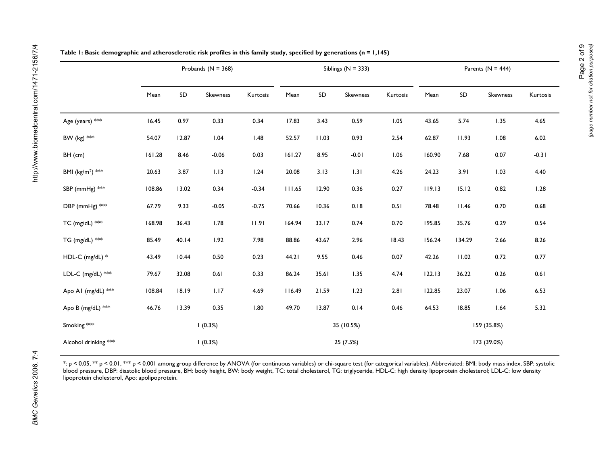|                              | Probands ( $N = 368$ ) |       |          | Siblings $(N = 333)$ |        |       | Parents ( $N = 444$ ) |          |        |        |          |          |
|------------------------------|------------------------|-------|----------|----------------------|--------|-------|-----------------------|----------|--------|--------|----------|----------|
|                              | Mean                   | SD    | Skewness | Kurtosis             | Mean   | SD    | Skewness              | Kurtosis | Mean   | SD     | Skewness | Kurtosis |
| Age (years) ***              | 16.45                  | 0.97  | 0.33     | 0.34                 | 17.83  | 3.43  | 0.59                  | 1.05     | 43.65  | 5.74   | 1.35     | 4.65     |
| BW (kg) ***                  | 54.07                  | 12.87 | 1.04     | 1.48                 | 52.57  | 11.03 | 0.93                  | 2.54     | 62.87  | 11.93  | 1.08     | 6.02     |
| BH (cm)                      | 161.28                 | 8.46  | $-0.06$  | 0.03                 | 161.27 | 8.95  | $-0.01$               | 1.06     | 160.90 | 7.68   | 0.07     | $-0.31$  |
| BMI (kg/m <sup>2</sup> ) *** | 20.63                  | 3.87  | 1.13     | 1.24                 | 20.08  | 3.13  | 1.31                  | 4.26     | 24.23  | 3.91   | 1.03     | 4.40     |
| SBP (mmHg) ***               | 108.86                 | 13.02 | 0.34     | $-0.34$              | 111.65 | 12.90 | 0.36                  | 0.27     | 119.13 | 15.12  | 0.82     | 1.28     |
| DBP (mmHg) ***               | 67.79                  | 9.33  | $-0.05$  | $-0.75$              | 70.66  | 10.36 | 0.18                  | 0.51     | 78.48  | 11.46  | 0.70     | 0.68     |
| TC (mg/dL) $**$              | 168.98                 | 36.43 | 1.78     | 11.91                | 164.94 | 33.17 | 0.74                  | 0.70     | 195.85 | 35.76  | 0.29     | 0.54     |
| TG (mg/dL) ***               | 85.49                  | 40.14 | 1.92     | 7.98                 | 88.86  | 43.67 | 2.96                  | 18.43    | 156.24 | 134.29 | 2.66     | 8.26     |
| HDL-C (mg/dL) *              | 43.49                  | 10.44 | 0.50     | 0.23                 | 44.21  | 9.55  | 0.46                  | 0.07     | 42.26  | 11.02  | 0.72     | 0.77     |
| LDL-C (mg/dL) ***            | 79.67                  | 32.08 | 0.61     | 0.33                 | 86.24  | 35.61 | 1.35                  | 4.74     | 122.13 | 36.22  | 0.26     | 0.61     |
| Apo AI (mg/dL) ***           | 108.84                 | 18.19 | 1.17     | 4.69                 | 116.49 | 21.59 | 1.23                  | 2.81     | 122.85 | 23.07  | 1.06     | 6.53     |
| Apo B (mg/dL) ***            | 46.76                  | 13.39 | 0.35     | 1.80                 | 49.70  | 13.87 | 0.14                  | 0.46     | 64.53  | 18.85  | 1.64     | 5.32     |
| Smoking ***                  | 1(0.3%)                |       |          | 35 (10.5%)           |        |       | 159 (35.8%)           |          |        |        |          |          |
| Alcohol drinking ***         | 1(0.3%)                |       |          | 25 (7.5%)            |        |       | 173 (39.0%)           |          |        |        |          |          |

**Table 1: Basic demographic and atherosclerotic risk profiles in this family study, specified by generations (n = 1,145)**

http://www.biomedcentral.com/1471-2156/7/4

\*: p < 0.05, \*\* p < 0.01, \*\* p < 0.001 among group difference by ANOVA (for continuous variables) or chi-square test (for categorical variables). Abbreviated: BMI: body mass index, SBP: systolic blood pressure, DBP: diastolic blood pressure, BH: body height, BW: body weight, TC: total cholesterol, TG: triglyceride, HDL-C: high density lipoprotein cholesterol; LDL-C: low density lipoprotein cholesterol, Apo: apolipoprotein.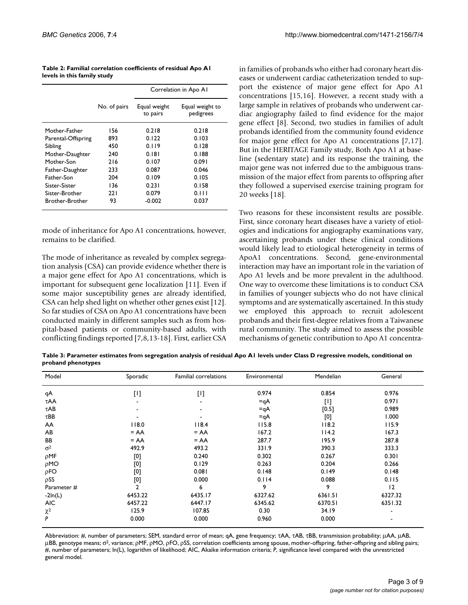|                             |  | Table 2: Familial correlation coefficients of residual Apo AI |  |
|-----------------------------|--|---------------------------------------------------------------|--|
| levels in this family study |  |                                                               |  |

|                    |              | Correlation in Apo AI    |                              |  |  |
|--------------------|--------------|--------------------------|------------------------------|--|--|
|                    | No. of pairs | Equal weight<br>to pairs | Equal weight to<br>pedigrees |  |  |
| Mother-Father      | 156          | 0.218                    | 0.218                        |  |  |
| Parental-Offspring | 893          | 0.122                    | 0.103                        |  |  |
| Sibling            | 450          | 0.119                    | 0.128                        |  |  |
| Mother-Daughter    | 240          | 0.181                    | 0.188                        |  |  |
| Mother-Son         | 216          | 0.107                    | 0.091                        |  |  |
| Father-Daughter    | 233          | 0.087                    | 0.046                        |  |  |
| Father-Son         | 204          | 0.109                    | 0.105                        |  |  |
| Sister-Sister      | 136          | 0.231                    | 0.158                        |  |  |
| Sister-Brother     | 221          | 0.079                    | 0.111                        |  |  |
| Brother-Brother    | 93           | $-0.002$                 | 0.037                        |  |  |

mode of inheritance for Apo A1 concentrations, however, remains to be clarified.

The mode of inheritance as revealed by complex segregation analysis (CSA) can provide evidence whether there is a major gene effect for Apo A1 concentrations, which is important for subsequent gene localization [11]. Even if some major susceptibility genes are already identified, CSA can help shed light on whether other genes exist [12]. So far studies of CSA on Apo A1 concentrations have been conducted mainly in different samples such as from hospital-based patients or community-based adults, with conflicting findings reported [7,8,13-18]. First, earlier CSA in families of probands who either had coronary heart diseases or underwent cardiac catheterization tended to support the existence of major gene effect for Apo A1 concentrations [15,16]. However, a recent study with a large sample in relatives of probands who underwent cardiac angiography failed to find evidence for the major gene effect [8]. Second, two studies in families of adult probands identified from the community found evidence for major gene effect for Apo A1 concentrations [7,17]. But in the HERITAGE Family study, Both Apo A1 at baseline (sedentary state) and its response the training, the major gene was not inferred due to the ambiguous transmission of the major effect from parents to offspring after they followed a supervised exercise training program for 20 weeks [18].

Two reasons for these inconsistent results are possible. First, since coronary heart diseases have a variety of etiologies and indications for angiography examinations vary, ascertaining probands under these clinical conditions would likely lead to etiological heterogeneity in terms of ApoA1 concentrations. Second, gene-environmental interaction may have an important role in the variation of Apo A1 levels and be more prevalent in the adulthood. One way to overcome these limitations is to conduct CSA in families of younger subjects who do not have clinical symptoms and are systematically ascertained. In this study we employed this approach to recruit adolescent probands and their first-degree relatives from a Taiwanese rural community. The study aimed to assess the possible mechanisms of genetic contribution to Apo A1 concentra-

**Table 3: Parameter estimates from segregation analysis of residual Apo A1 levels under Class D regressive models, conditional on proband phenotypes**

| Model       | Sporadic                                                                                                                                                                                                                                                                                                                                                                                                                                                                                                                                                                                                                                                                                                                                   | Familial correlations                                                                                                                                                                                                                                                                                                                                                                                                                                                                                                                                                                                                                                                                                                                                                                                                                                                                                                          | Environmental | Mendelian                                                                                                                                                                                                                                                                                                                                                                                                                                                                                                                                                                                                             | General |
|-------------|--------------------------------------------------------------------------------------------------------------------------------------------------------------------------------------------------------------------------------------------------------------------------------------------------------------------------------------------------------------------------------------------------------------------------------------------------------------------------------------------------------------------------------------------------------------------------------------------------------------------------------------------------------------------------------------------------------------------------------------------|--------------------------------------------------------------------------------------------------------------------------------------------------------------------------------------------------------------------------------------------------------------------------------------------------------------------------------------------------------------------------------------------------------------------------------------------------------------------------------------------------------------------------------------------------------------------------------------------------------------------------------------------------------------------------------------------------------------------------------------------------------------------------------------------------------------------------------------------------------------------------------------------------------------------------------|---------------|-----------------------------------------------------------------------------------------------------------------------------------------------------------------------------------------------------------------------------------------------------------------------------------------------------------------------------------------------------------------------------------------------------------------------------------------------------------------------------------------------------------------------------------------------------------------------------------------------------------------------|---------|
| qA          |                                                                                                                                                                                                                                                                                                                                                                                                                                                                                                                                                                                                                                                                                                                                            | $[1] % \centering \includegraphics[width=0.9\textwidth]{images/TrDiM-Architecture.png} % \caption{The first two different values of $d$-error of the network and the network are shown in the left (upper) and the network are shown in the right (lower) and the network are shown in the right (lower) and the network are shown in the right (lower) and the network are shown in the right (lower) and the network are shown in the right (lower) and the network are shown in the right (lower) and the network are shown in the right (lower) and the network are shown in the right (lower) and the network are shown in the right (lower) and the network are shown in the right (lower) and the network are shown in the right (lower) and the network are shown in the right (lower) and the network are shown in the right (lower) and the network are shown in the right (lower) and the network are shown in the$ | 0.974         | 0.854                                                                                                                                                                                                                                                                                                                                                                                                                                                                                                                                                                                                                 | 0.976   |
| τAA         |                                                                                                                                                                                                                                                                                                                                                                                                                                                                                                                                                                                                                                                                                                                                            |                                                                                                                                                                                                                                                                                                                                                                                                                                                                                                                                                                                                                                                                                                                                                                                                                                                                                                                                | $=qA$         | $[!]% \centering \subfloat[\centering]{{\includegraphics[width=0.22\textwidth]{figs-pr2.png}}}% \qquad \subfloat[\centering]{{\includegraphics[width=0.22\textwidth]{figs-pr2.png}}}% \caption{The 3D (top) and the 4D (bottom) of the 3D (bottom) and the 5D (bottom) of the 3D (bottom) of the 3D (bottom) of the 3D (bottom) of the 3D (bottom) of the 3D (bottom) of the 3D (bottom) of the 3D (bottom) of the 3D (bottom) of the 3D (bottom) of the 3D (bottom) of the 3D (bottom) of the 3D (bottom) of the 3D (bottom) of the 3D (bottom) of the 3D$                                                           | 0.971   |
| τAB         | $\blacksquare$                                                                                                                                                                                                                                                                                                                                                                                                                                                                                                                                                                                                                                                                                                                             |                                                                                                                                                                                                                                                                                                                                                                                                                                                                                                                                                                                                                                                                                                                                                                                                                                                                                                                                | $=$ qA        | [0.5]                                                                                                                                                                                                                                                                                                                                                                                                                                                                                                                                                                                                                 | 0.989   |
| $\tau$ BB   |                                                                                                                                                                                                                                                                                                                                                                                                                                                                                                                                                                                                                                                                                                                                            |                                                                                                                                                                                                                                                                                                                                                                                                                                                                                                                                                                                                                                                                                                                                                                                                                                                                                                                                | $=$ qA        | $[0] % \begin{center} % \includegraphics[width=\linewidth]{imagesSupplemental_3.png} % \end{center} % \caption { % Our method can be used for the proposed method. % Note that the \emph{Stab} and the \emph{Stab} can be used for the \emph{Stab} and the \emph{Stab} can be used for the \emph{Stab} and the \emph{Stab} can be used for the \emph{Stab} and the \emph{Stab} can be used for the \emph{Stab} and the \emph{Stab} can be used for the \emph{Stab} and the \emph{Stab} can be used for the \emph{Stab} and the \emph{Stab} can be used for the \emph{Stab} and the \emph{Stab} can be used for the \$ | 1.000   |
| AA          | 118.0                                                                                                                                                                                                                                                                                                                                                                                                                                                                                                                                                                                                                                                                                                                                      | 118.4                                                                                                                                                                                                                                                                                                                                                                                                                                                                                                                                                                                                                                                                                                                                                                                                                                                                                                                          | 115.8         | 118.2                                                                                                                                                                                                                                                                                                                                                                                                                                                                                                                                                                                                                 | 115.9   |
| AB          | $= AA$                                                                                                                                                                                                                                                                                                                                                                                                                                                                                                                                                                                                                                                                                                                                     | $= AA$                                                                                                                                                                                                                                                                                                                                                                                                                                                                                                                                                                                                                                                                                                                                                                                                                                                                                                                         | 167.2         | 114.2                                                                                                                                                                                                                                                                                                                                                                                                                                                                                                                                                                                                                 | 167.3   |
| BB          | $= AA$                                                                                                                                                                                                                                                                                                                                                                                                                                                                                                                                                                                                                                                                                                                                     | $= AA$                                                                                                                                                                                                                                                                                                                                                                                                                                                                                                                                                                                                                                                                                                                                                                                                                                                                                                                         | 287.7         | 195.9                                                                                                                                                                                                                                                                                                                                                                                                                                                                                                                                                                                                                 | 287.8   |
| $\sigma^2$  | 492.9                                                                                                                                                                                                                                                                                                                                                                                                                                                                                                                                                                                                                                                                                                                                      | 493.2                                                                                                                                                                                                                                                                                                                                                                                                                                                                                                                                                                                                                                                                                                                                                                                                                                                                                                                          | 331.9         | 390.3                                                                                                                                                                                                                                                                                                                                                                                                                                                                                                                                                                                                                 | 333.3   |
| ρMF         | $[0] % \begin{center} % \includegraphics[width=\linewidth]{imagesSupplemental_3.png} % \end{center} % \caption { % Our method can be used for the proposed method. % Note that the \emph{Stab} and the \emph{Stab} can be used for the \emph{Stab} and the \emph{Stab} can be used for the \emph{Stab} and the \emph{Stab} can be used for the \emph{Stab} and the \emph{Stab} can be used for the \emph{Stab} and the \emph{Stab} can be used for the \emph{Stab} and the \emph{Stab} can be used for the \emph{Stab} and the \emph{Stab} can be used for the \emph{Stab} and the \emph{Stab} can be used for the \$                                                                                                                      | 0.240                                                                                                                                                                                                                                                                                                                                                                                                                                                                                                                                                                                                                                                                                                                                                                                                                                                                                                                          | 0.302         | 0.267                                                                                                                                                                                                                                                                                                                                                                                                                                                                                                                                                                                                                 | 0.301   |
| ρMO         | $[0] % \begin{center} % \includegraphics[width=\linewidth]{imagesSupplemental_3.png} % \end{center} % \caption { % Our method can be used for the proposed method. % Note that the \emph{Stab} and the \emph{Stab} can be used for the \emph{Stab} and the \emph{Stab} can be used for the \emph{Stab} and the \emph{Stab} can be used for the \emph{Stab} and the \emph{Stab} can be used for the \emph{Stab} and the \emph{Stab} can be used for the \emph{Stab} and the \emph{Stab} can be used for the \emph{Stab} and the \emph{Stab} can be used for the \emph{Stab} and the \emph{Stab} can be used for the \$                                                                                                                      | 0.129                                                                                                                                                                                                                                                                                                                                                                                                                                                                                                                                                                                                                                                                                                                                                                                                                                                                                                                          | 0.263         | 0.204                                                                                                                                                                                                                                                                                                                                                                                                                                                                                                                                                                                                                 | 0.266   |
| $\rho$ FO   | $[0] % \begin{center} % \includegraphics[width=\linewidth]{imagesSupplemental_3.png} % \end{center} % \caption { % Our method can be used for the proposed method. % Note that the \emph{exponent} is used to be used in the image. % Note that the \emph{exponent} is used in the image. % Note that the \emph{exponent} is used to be used in the image. % Note that the \emph{exponent} is used in the image. % Note that the \emph{exponent} is used in the image. % Note that the \emph{exponent} is used in the image. % Note that the \emph{exportector} is used in the image. % Note that the \emph{exportector} is used in the image. % Note that the \emph{exportector} is used in the image. % Note that the \emph{exportector$ | 0.081                                                                                                                                                                                                                                                                                                                                                                                                                                                                                                                                                                                                                                                                                                                                                                                                                                                                                                                          | 0.148         | 0.149                                                                                                                                                                                                                                                                                                                                                                                                                                                                                                                                                                                                                 | 0.148   |
| ρSS         | $[0] % \begin{center} % \includegraphics[width=\linewidth]{imagesSupplemental_3.png} % \end{center} % \caption { % Our method can be used for the proposed method. % Note that the \emph{exponent} is used to be used in the image. % Note that the \emph{exponent} is used in the image. % Note that the \emph{exponent} is used to be used in the image. % Note that the \emph{exponent} is used in the image. % Note that the \emph{exponent} is used in the image. % Note that the \emph{exponent} is used in the image. % Note that the \emph{exportector} is used in the image. % Note that the \emph{exportector} is used in the image. % Note that the \emph{exportector} is used in the image. % Note that the \emph{exportector$ | 0.000                                                                                                                                                                                                                                                                                                                                                                                                                                                                                                                                                                                                                                                                                                                                                                                                                                                                                                                          | 0.114         | 0.088                                                                                                                                                                                                                                                                                                                                                                                                                                                                                                                                                                                                                 | 0.115   |
| Parameter # | $\overline{2}$                                                                                                                                                                                                                                                                                                                                                                                                                                                                                                                                                                                                                                                                                                                             | 6                                                                                                                                                                                                                                                                                                                                                                                                                                                                                                                                                                                                                                                                                                                                                                                                                                                                                                                              | 9             | 9                                                                                                                                                                                                                                                                                                                                                                                                                                                                                                                                                                                                                     | 12      |
| $-2\ln(L)$  | 6453.22                                                                                                                                                                                                                                                                                                                                                                                                                                                                                                                                                                                                                                                                                                                                    | 6435.17                                                                                                                                                                                                                                                                                                                                                                                                                                                                                                                                                                                                                                                                                                                                                                                                                                                                                                                        | 6327.62       | 6361.51                                                                                                                                                                                                                                                                                                                                                                                                                                                                                                                                                                                                               | 6327.32 |
| <b>AIC</b>  | 6457.22                                                                                                                                                                                                                                                                                                                                                                                                                                                                                                                                                                                                                                                                                                                                    | 6447.17                                                                                                                                                                                                                                                                                                                                                                                                                                                                                                                                                                                                                                                                                                                                                                                                                                                                                                                        | 6345.62       | 6370.51                                                                                                                                                                                                                                                                                                                                                                                                                                                                                                                                                                                                               | 6351.32 |
| $\chi^2$    | 125.9                                                                                                                                                                                                                                                                                                                                                                                                                                                                                                                                                                                                                                                                                                                                      | 107.85                                                                                                                                                                                                                                                                                                                                                                                                                                                                                                                                                                                                                                                                                                                                                                                                                                                                                                                         | 0.30          | 34.19                                                                                                                                                                                                                                                                                                                                                                                                                                                                                                                                                                                                                 | ۰       |
| P           | 0.000                                                                                                                                                                                                                                                                                                                                                                                                                                                                                                                                                                                                                                                                                                                                      | 0.000                                                                                                                                                                                                                                                                                                                                                                                                                                                                                                                                                                                                                                                                                                                                                                                                                                                                                                                          | 0.960         | 0.000                                                                                                                                                                                                                                                                                                                                                                                                                                                                                                                                                                                                                 | ۰       |

Abbreviation: #, number of parameters; SEM, standard error of mean; qA, gene frequency; τAA, τAB, τBB, transmission probability; µAA, µAB, µBB, genotype means; σ2, variance; ρMF, ρMO, ρFO, ρSS, correlation coefficients among spouse, mother-offspring, father-offspring and sibling pairs; #, number of parameters; ln(L), logarithm of likelihood; AIC, Akaike information criteria; *P*, significance level compared with the unrestricted general model.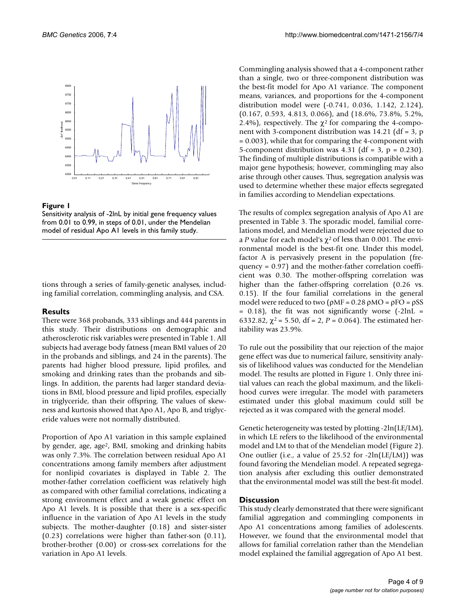

#### Figure 1.

Sensitivity analysis of -2lnL by initial gene frequency values from 0.01 to 0.99, in steps of 0.01, under the Mendelian model of residual Apo A1 levels in this family study.

tions through a series of family-genetic analyses, including familial correlation, commingling analysis, and CSA.

### **Results**

There were 368 probands, 333 siblings and 444 parents in this study. Their distributions on demographic and atherosclerotic risk variables were presented in Table 1. All subjects had average body fatness (mean BMI values of 20 in the probands and siblings, and 24 in the parents). The parents had higher blood pressure, lipid profiles, and smoking and drinking rates than the probands and siblings. In addition, the parents had larger standard deviations in BMI, blood pressure and lipid profiles, especially in triglyceride, than their offspring. The values of skewness and kurtosis showed that Apo A1, Apo B, and triglyceride values were not normally distributed.

Proportion of Apo A1 variation in this sample explained by gender, age, age<sup>2</sup>, BMI, smoking and drinking habits was only 7.3%. The correlation between residual Apo A1 concentrations among family members after adjustment for nonlipid covariates is displayed in Table 2. The mother-father correlation coefficient was relatively high as compared with other familial correlations, indicating a strong environment effect and a weak genetic effect on Apo A1 levels. It is possible that there is a sex-specific influence in the variation of Apo A1 levels in the study subjects. The mother-daughter (0.18) and sister-sister (0.23) correlations were higher than father-son (0.11), brother-brother (0.00) or cross-sex correlations for the variation in Apo A1 levels.

Commingling analysis showed that a 4-component rather than a single, two or three-component distribution was the best-fit model for Apo A1 variance. The component means, variances, and proportions for the 4-component distribution model were (-0.741, 0.036, 1.142, 2.124), (0.167, 0.593, 4.813, 0.066), and (18.6%, 73.8%, 5.2%, 2.4%), respectively. The  $\chi^2$  for comparing the 4-component with 3-component distribution was  $14.21$  (df = 3, p = 0.003), while that for comparing the 4-component with 5-component distribution was 4.31 (df = 3,  $p = 0.230$ ). The finding of multiple distributions is compatible with a major gene hypothesis; however, commingling may also arise through other causes. Thus, segregation analysis was used to determine whether these major effects segregated in families according to Mendelian expectations.

The results of complex segregation analysis of Apo A1 are presented in Table 3. The sporadic model, familial correlations model, and Mendelian model were rejected due to a *P* value for each model's  $\chi^2$  of less than 0.001. The environmental model is the best-fit one. Under this model, factor A is pervasively present in the population (frequency = 0.97) and the mother-father correlation coefficient was 0.30. The mother-offspring correlation was higher than the father-offspring correlation (0.26 vs. 0.15). If the four familial correlations in the general model were reduced to two ( $\rho$ MF = 0.28  $\rho$ MO =  $\rho$ FO =  $\rho$ SS  $= 0.18$ ), the fit was not significantly worse  $(-2\ln L)$ 6332.82,  $\chi^2$  = 5.50, df = 2, P = 0.064). The estimated heritability was 23.9%.

To rule out the possibility that our rejection of the major gene effect was due to numerical failure, sensitivity analysis of likelihood values was conducted for the Mendelian model. The results are plotted in Figure 1. Only three initial values can reach the global maximum, and the likelihood curves were irregular. The model with parameters estimated under this global maximum could still be rejected as it was compared with the general model.

Genetic heterogeneity was tested by plotting -2ln(LE/LM), in which LE refers to the likelihood of the environmental model and LM to that of the Mendelian model (Figure 2). One outlier (i.e., a value of 25.52 for -2ln(LE/LM)) was found favoring the Mendelian model. A repeated segregation analysis after excluding this outlier demonstrated that the environmental model was still the best-fit model.

#### **Discussion**

This study clearly demonstrated that there were significant familial aggregation and commingling components in Apo A1 concentrations among families of adolescents. However, we found that the environmental model that allows for familial correlation rather than the Mendelian model explained the familial aggregation of Apo A1 best.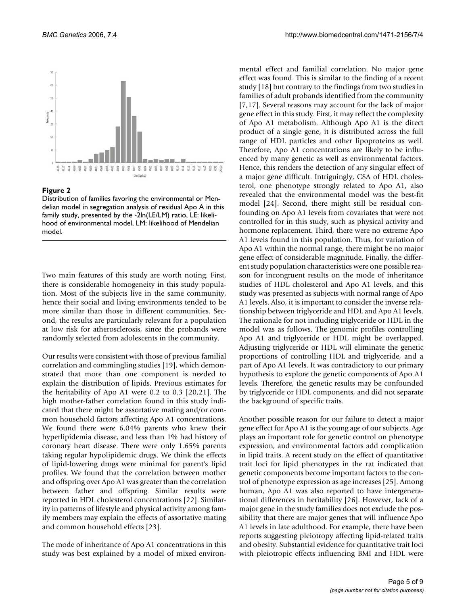

#### Figure 2

Distribution of families favoring the environmental or Mendelian model in segregation analysis of residual Apo A in this family study, presented by the -2ln(LE/LM) ratio, LE: likelihood of environmental model, LM: likelihood of Mendelian model.

Two main features of this study are worth noting. First, there is considerable homogeneity in this study population. Most of the subjects live in the same community, hence their social and living environments tended to be more similar than those in different communities. Second, the results are particularly relevant for a population at low risk for atherosclerosis, since the probands were randomly selected from adolescents in the community.

Our results were consistent with those of previous familial correlation and commingling studies [19], which demonstrated that more than one component is needed to explain the distribution of lipids. Previous estimates for the heritability of Apo A1 were 0.2 to 0.3 [20,21]. The high mother-father correlation found in this study indicated that there might be assortative mating and/or common household factors affecting Apo A1 concentrations. We found there were 6.04% parents who knew their hyperlipidemia disease, and less than 1% had history of coronary heart disease. There were only 1.65% parents taking regular hypolipidemic drugs. We think the effects of lipid-lowering drugs were minimal for parent's lipid profiles. We found that the correlation between mother and offspring over Apo A1 was greater than the correlation between father and offspring. Similar results were reported in HDL cholesterol concentrations [22]. Similarity in patterns of lifestyle and physical activity among family members may explain the effects of assortative mating and common household effects [23].

The mode of inheritance of Apo A1 concentrations in this study was best explained by a model of mixed environmental effect and familial correlation. No major gene effect was found. This is similar to the finding of a recent study [18] but contrary to the findings from two studies in families of adult probands identified from the community [7,17]. Several reasons may account for the lack of major gene effect in this study. First, it may reflect the complexity of Apo A1 metabolism. Although Apo A1 is the direct product of a single gene, it is distributed across the full range of HDL particles and other lipoproteins as well. Therefore, Apo A1 concentrations are likely to be influenced by many genetic as well as environmental factors. Hence, this renders the detection of any singular effect of a major gene difficult. Intriguingly, CSA of HDL cholesterol, one phenotype strongly related to Apo A1, also revealed that the environmental model was the best-fit model [24]. Second, there might still be residual confounding on Apo A1 levels from covariates that were not controlled for in this study, such as physical activity and hormone replacement. Third, there were no extreme Apo A1 levels found in this population. Thus, for variation of Apo A1 within the normal range, there might be no major gene effect of considerable magnitude. Finally, the different study population characteristics were one possible reason for incongruent results on the mode of inheritance studies of HDL cholesterol and Apo A1 levels, and this study was presented as subjects with normal range of Apo A1 levels. Also, it is important to consider the inverse relationship between triglyceride and HDL and Apo A1 levels. The rationale for not including triglyceride or HDL in the model was as follows. The genomic profiles controlling Apo A1 and triglyceride or HDL might be overlapped. Adjusting triglyceride or HDL will eliminate the genetic proportions of controlling HDL and triglyceride, and a part of Apo A1 levels. It was contradictory to our primary hypothesis to explore the genetic components of Apo A1 levels. Therefore, the genetic results may be confounded by triglyceride or HDL components, and did not separate the background of specific traits.

Another possible reason for our failure to detect a major gene effect for Apo A1 is the young age of our subjects. Age plays an important role for genetic control on phenotype expression, and environmental factors add complication in lipid traits. A recent study on the effect of quantitative trait loci for lipid phenotypes in the rat indicated that genetic components become important factors to the control of phenotype expression as age increases [25]. Among human, Apo A1 was also reported to have intergenerational differences in heritability [26]. However, lack of a major gene in the study families does not exclude the possibility that there are major genes that will influence Apo A1 levels in late adulthood. For example, there have been reports suggesting pleiotropy affecting lipid-related traits and obesity. Substantial evidence for quantitative trait loci with pleiotropic effects influencing BMI and HDL were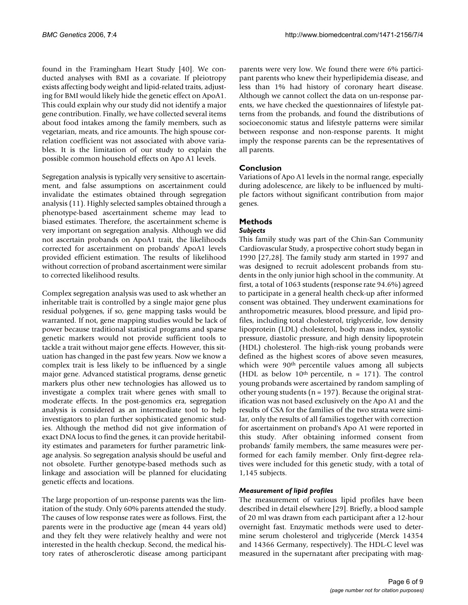found in the Framingham Heart Study [40]. We conducted analyses with BMI as a covariate. If pleiotropy exists affecting body weight and lipid-related traits, adjusting for BMI would likely hide the genetic effect on ApoA1. This could explain why our study did not identify a major gene contribution. Finally, we have collected several items about food intakes among the family members, such as vegetarian, meats, and rice amounts. The high spouse correlation coefficient was not associated with above variables. It is the limitation of our study to explain the possible common household effects on Apo A1 levels.

Segregation analysis is typically very sensitive to ascertainment, and false assumptions on ascertainment could invalidate the estimates obtained through segregation analysis (11). Highly selected samples obtained through a phenotype-based ascertainment scheme may lead to biased estimates. Therefore, the ascertainment scheme is very important on segregation analysis. Although we did not ascertain probands on ApoA1 trait, the likelihoods corrected for ascertainment on probands' ApoA1 levels provided efficient estimation. The results of likelihood without correction of proband ascertainment were similar to corrected likelihood results.

Complex segregation analysis was used to ask whether an inheritable trait is controlled by a single major gene plus residual polygenes, if so, gene mapping tasks would be warranted. If not, gene mapping studies would be lack of power because traditional statistical programs and sparse genetic markers would not provide sufficient tools to tackle a trait without major gene effects. However, this situation has changed in the past few years. Now we know a complex trait is less likely to be influenced by a single major gene. Advanced statistical programs, dense genetic markers plus other new technologies has allowed us to investigate a complex trait where genes with small to moderate effects. In the post-genomics era, segregation analysis is considered as an intermediate tool to help investigators to plan further sophisticated genomic studies. Although the method did not give information of exact DNA locus to find the genes, it can provide heritability estimates and parameters for further parametric linkage analysis. So segregation analysis should be useful and not obsolete. Further genotype-based methods such as linkage and association will be planned for elucidating genetic effects and locations.

The large proportion of un-response parents was the limitation of the study. Only 60% parents attended the study. The causes of low response rates were as follows. First, the parents were in the productive age (mean 44 years old) and they felt they were relatively healthy and were not interested in the health checkup. Second, the medical history rates of atherosclerotic disease among participant

parents were very low. We found there were 6% participant parents who knew their hyperlipidemia disease, and less than 1% had history of coronary heart disease. Although we cannot collect the data on un-response parents, we have checked the questionnaires of lifestyle patterns from the probands, and found the distributions of socioeconomic status and lifestyle patterns were similar between response and non-response parents. It might imply the response parents can be the representatives of all parents.

# **Conclusion**

Variations of Apo A1 levels in the normal range, especially during adolescence, are likely to be influenced by multiple factors without significant contribution from major genes.

# **Methods**

# *Subjects*

This family study was part of the Chin-San Community Cardiovascular Study, a prospective cohort study began in 1990 [27,28]. The family study arm started in 1997 and was designed to recruit adolescent probands from students in the only junior high school in the community. At first, a total of 1063 students (response rate 94.6%) agreed to participate in a general health check-up after informed consent was obtained. They underwent examinations for anthropometric measures, blood pressure, and lipid profiles, including total cholesterol, triglyceride, low density lipoprotein (LDL) cholesterol, body mass index, systolic pressure, diastolic pressure, and high density lipoprotein (HDL) cholesterol. The high-risk young probands were defined as the highest scores of above seven measures, which were 90<sup>th</sup> percentile values among all subjects (HDL as below  $10<sup>th</sup>$  percentile, n = 171). The control young probands were ascertained by random sampling of other young students ( $n = 197$ ). Because the original stratification was not based exclusively on the Apo A1 and the results of CSA for the families of the two strata were similar, only the results of all families together with correction for ascertainment on proband's Apo A1 were reported in this study. After obtaining informed consent from probands' family members, the same measures were performed for each family member. Only first-degree relatives were included for this genetic study, with a total of 1,145 subjects.

# *Measurement of lipid profiles*

The measurement of various lipid profiles have been described in detail elsewhere [29]. Briefly, a blood sample of 20 ml was drawn from each participant after a 12-hour overnight fast. Enzymatic methods were used to determine serum cholesterol and triglyceride (Merck 14354 and 14366 Germany, respectively). The HDL-C level was measured in the supernatant after precipating with mag-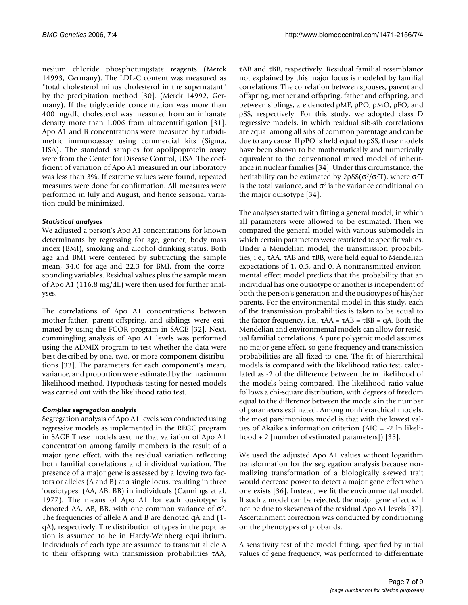nesium chloride phosphotungstate reagents (Merck 14993, Germany). The LDL-C content was measured as "total cholesterol minus cholesterol in the supernatant" by the precipitation method [30]. (Merck 14992, Germany). If the triglyceride concentration was more than 400 mg/dL, cholesterol was measured from an infranate density more than 1.006 from ultracentrifugation [31]. Apo A1 and B concentrations were measured by turbidimetric immunoassay using commercial kits (Sigma, USA). The standard samples for apolipoprotein assay were from the Center for Disease Control, USA. The coefficient of variation of Apo A1 measured in our laboratory was less than 3%. If extreme values were found, repeated measures were done for confirmation. All measures were performed in July and August, and hence seasonal variation could be minimized.

## *Statistical analyses*

We adjusted a person's Apo A1 concentrations for known determinants by regressing for age, gender, body mass index (BMI), smoking and alcohol drinking status. Both age and BMI were centered by subtracting the sample mean, 34.0 for age and 22.3 for BMI, from the corresponding variables. Residual values plus the sample mean of Apo A1 (116.8 mg/dL) were then used for further analyses.

The correlations of Apo A1 concentrations between mother-father, parent-offspring, and siblings were estimated by using the FCOR program in SAGE [32]. Next, commingling analysis of Apo A1 levels was performed using the ADMIX program to test whether the data were best described by one, two, or more component distributions [33]. The parameters for each component's mean, variance, and proportion were estimated by the maximum likelihood method. Hypothesis testing for nested models was carried out with the likelihood ratio test.

## *Complex segregation analysis*

Segregation analysis of Apo A1 levels was conducted using regressive models as implemented in the REGC program in SAGE These models assume that variation of Apo A1 concentration among family members is the result of a major gene effect, with the residual variation reflecting both familial correlations and individual variation. The presence of a major gene is assessed by allowing two factors or alleles (A and B) at a single locus, resulting in three 'ousiotypes' (AA, AB, BB) in individuals (Cannings et al. 1977). The means of Apo A1 for each ousiotype is denoted AA, AB, BB, with one common variance of  $\sigma^2$ . The frequencies of allele A and B are denoted qA and (1 qA), respectively. The distribution of types in the population is assumed to be in Hardy-Weinberg equilibrium. Individuals of each type are assumed to transmit allele A to their offspring with transmission probabilities τAA,

τAB and τBB, respectively. Residual familial resemblance not explained by this major locus is modeled by familial correlations. The correlation between spouses, parent and offspring, mother and offspring, father and offspring, and between siblings, are denoted ρMF, ρPO, ρMO, ρFO, and ρSS, respectively. For this study, we adopted class D regressive models, in which residual sib-sib correlations are equal among all sibs of common parentage and can be due to any cause. If ρPO is held equal to ρSS, these models have been shown to be mathematically and numerically equivalent to the conventional mixed model of inheritance in nuclear families [34]. Under this circumstance, the heritability can be estimated by 2ρSS( $\sigma$ <sup>2</sup>/σ<sup>2</sup>T), where σ<sup>2</sup>T is the total variance, and  $\sigma^2$  is the variance conditional on the major ouisotype [34].

The analyses started with fitting a general model, in which all parameters were allowed to be estimated. Then we compared the general model with various submodels in which certain parameters were restricted to specific values. Under a Mendelian model, the transmission probabilities, i.e., τAA, τAB and τBB, were held equal to Mendelian expectations of 1, 0.5, and 0. A nontransmitted environmental effect model predicts that the probability that an individual has one ousiotype or another is independent of both the person's generation and the ousiotypes of his/her parents. For the environmental model in this study, each of the transmission probabilities is taken to be equal to the factor frequency, i.e.,  $\tau AA = \tau AB = \tau BB = qA$ . Both the Mendelian and environmental models can allow for residual familial correlations. A pure polygenic model assumes no major gene effect, so gene frequency and transmission probabilities are all fixed to one. The fit of hierarchical models is compared with the likelihood ratio test, calculated as -2 of the difference between the *ln* likelihood of the models being compared. The likelihood ratio value follows a chi-square distribution, with degrees of freedom equal to the difference between the models in the number of parameters estimated. Among nonhierarchical models, the most parsimonious model is that with the lowest values of Akaike's information criterion (AIC = -2 ln likelihood + 2 [number of estimated parameters]) [35].

We used the adjusted Apo A1 values without logarithm transformation for the segregation analysis because normalizing transformation of a biologically skewed trait would decrease power to detect a major gene effect when one exists [36]. Instead, we fit the environmental model. If such a model can be rejected, the major gene effect will not be due to skewness of the residual Apo A1 levels [37]. Ascertainment correction was conducted by conditioning on the phenotypes of probands.

A sensitivity test of the model fitting, specified by initial values of gene frequency, was performed to differentiate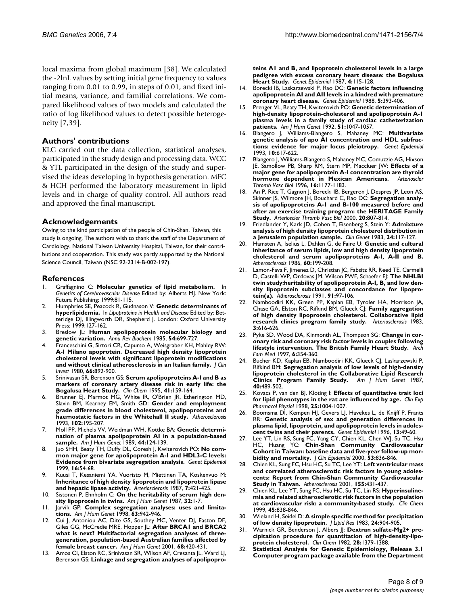local maxima from global maximum [38]. We calculated the -2lnL values by setting initial gene frequency to values ranging from 0.01 to 0.99, in steps of 0.01, and fixed initial means, variance, and familial correlations. We compared likelihood values of two models and calculated the ratio of log likelihood values to detect possible heterogeneity [7,39].

## **Authors' contributions**

KLC carried out the data collection, statistical analyses, participated in the study design and processing data. WCC & YTL participated in the design of the study and supervised the ideas developing in hypothesis generation. MFC & HCH performed the laboratory measurement in lipid levels and in charge of quality control. All authors read and approved the final manuscript.

### **Acknowledgements**

Owing to the kind participation of the people of Chin-Shan, Taiwan, this study is ongoing. The authors wish to thank the staff of the Department of Cardiology, National Taiwan University Hospital, Taiwan, for their contributions and cooperation. This study was partly supported by the National Science Council, Taiwan (NSC 92-2314-B-002-197).

#### **References**

- 1. Graffagnino C: **Molecular genetics of lipid metabolism.** In *Genetics of Cerebrovascular Disease* Edited by: Alberts MJ. New York: Futura Publishing; 1999:81-115.
- 2. Humphries SE, Peacock R, Gudnason V: **Genetic determinants of hyperlipidemia.** In *Lipoproteins in Health and Disease* Edited by: Betteridge DJ, Illingworth DR, Shepherd J. London: Oxford University Press; 1999:127-162.
- 3. Breslow JL: **[Human apolipoprotein molecular biology and](http://www.ncbi.nlm.nih.gov/entrez/query.fcgi?cmd=Retrieve&db=PubMed&dopt=Abstract&list_uids=3896129) [genetic variation.](http://www.ncbi.nlm.nih.gov/entrez/query.fcgi?cmd=Retrieve&db=PubMed&dopt=Abstract&list_uids=3896129)** *Annu Rev Biochem* 1985, **54:**699-727.
- 4. Franceschini G, Sirtori CR, Capurso A, Weisgraber KH, Mahley RW: **A-I Milano apoprotein. Decreased high density lipoprotein [cholesterol levels with significant lipoprotein modifications](http://www.ncbi.nlm.nih.gov/entrez/query.fcgi?cmd=Retrieve&db=PubMed&dopt=Abstract&list_uids=7430351) [and without clinical atherosclerosis in an Italian family.](http://www.ncbi.nlm.nih.gov/entrez/query.fcgi?cmd=Retrieve&db=PubMed&dopt=Abstract&list_uids=7430351)** *J Clin Invest* 1980, **66:**892-900.
- 5. Srinivasan SR, Berenson GS: **[Serum apolipoproteins A-I and B as](http://www.ncbi.nlm.nih.gov/entrez/query.fcgi?cmd=Retrieve&db=PubMed&dopt=Abstract&list_uids=7813072) [markers of coronary artery disease risk in early life: the](http://www.ncbi.nlm.nih.gov/entrez/query.fcgi?cmd=Retrieve&db=PubMed&dopt=Abstract&list_uids=7813072) [Bogalusa Heart Study.](http://www.ncbi.nlm.nih.gov/entrez/query.fcgi?cmd=Retrieve&db=PubMed&dopt=Abstract&list_uids=7813072)** *Clin Chem* 1995, **41:**159-164.
- 6. Brunner EJ, Marmot MG, White IR, O'Brien JR, Etherington MD, Slavin BM, Kearney EM, Smith GD: **[Gender and employment](http://www.ncbi.nlm.nih.gov/entrez/query.fcgi?cmd=Retrieve&db=PubMed&dopt=Abstract&list_uids=8251006) [grade differences in blood cholesterol, apolipoproteins and](http://www.ncbi.nlm.nih.gov/entrez/query.fcgi?cmd=Retrieve&db=PubMed&dopt=Abstract&list_uids=8251006) [haemostatic factors in the Whitehall II study.](http://www.ncbi.nlm.nih.gov/entrez/query.fcgi?cmd=Retrieve&db=PubMed&dopt=Abstract&list_uids=8251006)** *Atherosclerosis* 1993, **102:**195-207.
- 7. Moll PP, Michels VV, Weidman WH, Kottke BA: **[Genetic determi](http://www.ncbi.nlm.nih.gov/entrez/query.fcgi?cmd=Retrieve&db=PubMed&dopt=Abstract&list_uids=2491774)[nation of plasma apolipoprotein AI in a population-based](http://www.ncbi.nlm.nih.gov/entrez/query.fcgi?cmd=Retrieve&db=PubMed&dopt=Abstract&list_uids=2491774) [sample.](http://www.ncbi.nlm.nih.gov/entrez/query.fcgi?cmd=Retrieve&db=PubMed&dopt=Abstract&list_uids=2491774)** *Am J Hum Genet* 1989, **44:**124-139.
- 8. Juo SHH, Beaty TH, Duffy DL, Coresh J, Kwiterovich PO: **[No com](http://www.ncbi.nlm.nih.gov/entrez/query.fcgi?cmd=Retrieve&db=PubMed&dopt=Abstract&list_uids=9915567)[mon major gene for apolipoprotein A-I and HDL3-C levels:](http://www.ncbi.nlm.nih.gov/entrez/query.fcgi?cmd=Retrieve&db=PubMed&dopt=Abstract&list_uids=9915567) [Evidence from bivariate segregation analysis.](http://www.ncbi.nlm.nih.gov/entrez/query.fcgi?cmd=Retrieve&db=PubMed&dopt=Abstract&list_uids=9915567)** *Genet Epidemiol* 1999, **16:**54-68.
- 9. Kuusi T, Kesaniemi YA, Vuoristo M, Miettinen TA, Koskenvuo M: **[Inheritance of high density lipoprotein and lipoprotein lipase](http://www.ncbi.nlm.nih.gov/entrez/query.fcgi?cmd=Retrieve&db=PubMed&dopt=Abstract&list_uids=3111455) [and hepatic lipase activity.](http://www.ncbi.nlm.nih.gov/entrez/query.fcgi?cmd=Retrieve&db=PubMed&dopt=Abstract&list_uids=3111455)** *Arteriosclerosis* 1987, **7:**421-425.
- 10. Sistonen P, Ehnholm C: **On the heritability of serum high density lipoprotein in twins.** *Am J Hum Genet* 1987, **32:**1-7.
- 11. Jarvik GP: **[Complex segregation analyses: uses and limita](http://www.ncbi.nlm.nih.gov/entrez/query.fcgi?cmd=Retrieve&db=PubMed&dopt=Abstract&list_uids=9758633)[tions.](http://www.ncbi.nlm.nih.gov/entrez/query.fcgi?cmd=Retrieve&db=PubMed&dopt=Abstract&list_uids=9758633)** *Am J Hum Genet* 1998, **63:**942-946.
- 12. Cui J, Antoniou AC, Dite GS, Southey MC, Venter DJ, Easton DF, Giles GG, McCredie MRE, Hopper JL: **[After BRCA1 and BRCA2](http://www.ncbi.nlm.nih.gov/entrez/query.fcgi?cmd=Retrieve&db=PubMed&dopt=Abstract&list_uids=11133358) what is next? Multifactorial segregation analyses of three[generation, population-based Australian families affected by](http://www.ncbi.nlm.nih.gov/entrez/query.fcgi?cmd=Retrieve&db=PubMed&dopt=Abstract&list_uids=11133358) [female breast cancer.](http://www.ncbi.nlm.nih.gov/entrez/query.fcgi?cmd=Retrieve&db=PubMed&dopt=Abstract&list_uids=11133358)** *Am J Hum Genet* 2001, **68:**420-431.
- 13. Amos CI, Elston RC, Srinivasan SR, Wilson AF, Cresanta JL, Ward LJ, Berenson GS: **[Linkage and segregation analyses of apolipopro-](http://www.ncbi.nlm.nih.gov/entrez/query.fcgi?cmd=Retrieve&db=PubMed&dopt=Abstract&list_uids=3108069)**

**[teins A1 and B, and lipoprotein cholesterol levels in a large](http://www.ncbi.nlm.nih.gov/entrez/query.fcgi?cmd=Retrieve&db=PubMed&dopt=Abstract&list_uids=3108069) pedigree with excess coronary heart disease: the Bogalusa [Heart Study.](http://www.ncbi.nlm.nih.gov/entrez/query.fcgi?cmd=Retrieve&db=PubMed&dopt=Abstract&list_uids=3108069)** *Genet Epidemiol* 1987, **4:**115-128.

- 14. Borecki IB, Laskarzewski P, Rao DC: **[Genetic factors influencing](http://www.ncbi.nlm.nih.gov/entrez/query.fcgi?cmd=Retrieve&db=PubMed&dopt=Abstract&list_uids=3145239) [apolipoprotein AI and AII levels in a kindred with premature](http://www.ncbi.nlm.nih.gov/entrez/query.fcgi?cmd=Retrieve&db=PubMed&dopt=Abstract&list_uids=3145239) [coronary heart disease.](http://www.ncbi.nlm.nih.gov/entrez/query.fcgi?cmd=Retrieve&db=PubMed&dopt=Abstract&list_uids=3145239)** *Genet Epidemiol* 1988, **5:**393-406.
- 15. Prenger VL, Beaty TH, Kwiterovich PO: **[Genetic determination of](http://www.ncbi.nlm.nih.gov/entrez/query.fcgi?cmd=Retrieve&db=PubMed&dopt=Abstract&list_uids=1415250) high-density lipoprotein-cholesterol and apolipoprotein A-1 [plasma levels in a family study of cardiac catheterization](http://www.ncbi.nlm.nih.gov/entrez/query.fcgi?cmd=Retrieve&db=PubMed&dopt=Abstract&list_uids=1415250) [patients.](http://www.ncbi.nlm.nih.gov/entrez/query.fcgi?cmd=Retrieve&db=PubMed&dopt=Abstract&list_uids=1415250)** *Am J Hum Genet* 1992, **51:**1047-1057.
- 16. Blangero J, Williams-Blangero S, Mahaney MC: **[Multivariate](http://www.ncbi.nlm.nih.gov/entrez/query.fcgi?cmd=Retrieve&db=PubMed&dopt=Abstract&list_uids=8314070) [genetic analysis of apo AI concentration and HDL subfrac](http://www.ncbi.nlm.nih.gov/entrez/query.fcgi?cmd=Retrieve&db=PubMed&dopt=Abstract&list_uids=8314070)[tions: evidence for major locus pleiotropy.](http://www.ncbi.nlm.nih.gov/entrez/query.fcgi?cmd=Retrieve&db=PubMed&dopt=Abstract&list_uids=8314070)** *Genet Epidemiol* 1993, **10:**617-622.
- 17. Blangero J, Williams-Blangero S, Mahaney MC, Comuzzie AG, Hixson JE, Samollow PB, Sharp RM, Stern MP, Maccluer JW: **[Effects of a](http://www.ncbi.nlm.nih.gov/entrez/query.fcgi?cmd=Retrieve&db=PubMed&dopt=Abstract&list_uids=8792772) [major gene for apolipoprotein A-I concentration are thyroid](http://www.ncbi.nlm.nih.gov/entrez/query.fcgi?cmd=Retrieve&db=PubMed&dopt=Abstract&list_uids=8792772) [hormone dependent in Mexican Americans.](http://www.ncbi.nlm.nih.gov/entrez/query.fcgi?cmd=Retrieve&db=PubMed&dopt=Abstract&list_uids=8792772)** *Arterioscler Thromb Vasc Biol* 1996, **16:**1177-1183.
- 18. An P, Rice T, Gagnon J, Borecki IB, Bergeron J, Despres JP, Leon AS, Skinner JS, Wilmore JH, Bouchard C, Rao DC: **[Segregation analy](http://www.ncbi.nlm.nih.gov/entrez/query.fcgi?cmd=Retrieve&db=PubMed&dopt=Abstract&list_uids=10712407)sis of apolipoproteins A-1 and B-100 measured before and [after an exercise training program: the HERITAGE Family](http://www.ncbi.nlm.nih.gov/entrez/query.fcgi?cmd=Retrieve&db=PubMed&dopt=Abstract&list_uids=10712407) [Study.](http://www.ncbi.nlm.nih.gov/entrez/query.fcgi?cmd=Retrieve&db=PubMed&dopt=Abstract&list_uids=10712407)** *Arterioscler Thromb Vasc Biol* 2000, **20:**807-814.
- 19. Friedlander Y, Kark JD, Cohen T, Eisenberg S, Stein Y: **[Admixture](http://www.ncbi.nlm.nih.gov/entrez/query.fcgi?cmd=Retrieve&db=PubMed&dopt=Abstract&list_uids=6616951) [analysis of high density lipoprotein cholesterol distribution in](http://www.ncbi.nlm.nih.gov/entrez/query.fcgi?cmd=Retrieve&db=PubMed&dopt=Abstract&list_uids=6616951) [a Jerusalem population sample.](http://www.ncbi.nlm.nih.gov/entrez/query.fcgi?cmd=Retrieve&db=PubMed&dopt=Abstract&list_uids=6616951)** *Clin Genet* 1983, **24:**117-127.
- Hamsten A, Iselius L, Dahlen G, de Faire U: [Genetic and cultural](http://www.ncbi.nlm.nih.gov/entrez/query.fcgi?cmd=Retrieve&db=PubMed&dopt=Abstract&list_uids=3730041) **inheritance of serum lipids, low and high density lipoprotein [cholesterol and serum apolipoproteins A-I, A-II and B.](http://www.ncbi.nlm.nih.gov/entrez/query.fcgi?cmd=Retrieve&db=PubMed&dopt=Abstract&list_uids=3730041)** *Atherosclerosis* 1986, **60:**199-208.
- 21. Lamon-Fava F, Jimenez D, Christian JC, Fabsitz RR, Reed TE, Carmelli D, Castelli WP, Ordovas JM, Wilson PWF, Schaefer EJ: **[The NHLBI](http://www.ncbi.nlm.nih.gov/entrez/query.fcgi?cmd=Retrieve&db=PubMed&dopt=Abstract&list_uids=1839820) twin study:heritability of apolipoprotein A-I, B, and low den[sity lipoprotein subclasses and concordance for lipopro](http://www.ncbi.nlm.nih.gov/entrez/query.fcgi?cmd=Retrieve&db=PubMed&dopt=Abstract&list_uids=1839820)[tein\(a\).](http://www.ncbi.nlm.nih.gov/entrez/query.fcgi?cmd=Retrieve&db=PubMed&dopt=Abstract&list_uids=1839820)** *Atherosclerosis* 1991, **91:**97-106.
- Namboodiri KK, Green PP, Kaplan EB, Tyroler HA, Morrison JA, Chase GA, Elston RC, Rifkind BM, Glueck CJ: **[Family aggregation](http://www.ncbi.nlm.nih.gov/entrez/query.fcgi?cmd=Retrieve&db=PubMed&dopt=Abstract&list_uids=6651617) [of high density lipoprotein cholesterol. Collaborative lipid](http://www.ncbi.nlm.nih.gov/entrez/query.fcgi?cmd=Retrieve&db=PubMed&dopt=Abstract&list_uids=6651617) [research clinics program family study.](http://www.ncbi.nlm.nih.gov/entrez/query.fcgi?cmd=Retrieve&db=PubMed&dopt=Abstract&list_uids=6651617)** *Arteriosclerosis* 1983, **3:**616-626.
- 23. Pyke SD, Wood DA, Kinmonth AL, Thompson SG: **[Change in cor](http://www.ncbi.nlm.nih.gov/entrez/query.fcgi?cmd=Retrieve&db=PubMed&dopt=Abstract&list_uids=9225707)[onary risk and coronary risk factor levels in couples following](http://www.ncbi.nlm.nih.gov/entrez/query.fcgi?cmd=Retrieve&db=PubMed&dopt=Abstract&list_uids=9225707) [lifestyle intervention. The British Family Heart Study.](http://www.ncbi.nlm.nih.gov/entrez/query.fcgi?cmd=Retrieve&db=PubMed&dopt=Abstract&list_uids=9225707)** *Arch Fam Med* 1997, **6:**354-360.
- Bucher KD, Kaplan EB, Namboodiri KK, Glueck CJ, Laskarzewski P, Rifkind BM: **[Segregation analysis of low levels of high-density](http://www.ncbi.nlm.nih.gov/entrez/query.fcgi?cmd=Retrieve&db=PubMed&dopt=Abstract&list_uids=3591798) [lipoprotein cholesterol in the Collaborative Lipid Research](http://www.ncbi.nlm.nih.gov/entrez/query.fcgi?cmd=Retrieve&db=PubMed&dopt=Abstract&list_uids=3591798) [Clinics Program Family Study.](http://www.ncbi.nlm.nih.gov/entrez/query.fcgi?cmd=Retrieve&db=PubMed&dopt=Abstract&list_uids=3591798)** *Am J Hum Genet* 1987, **40:**489-502.
- 25. Kovacs P, van den BJ, Kloting I: **[Effects of quantitative trait loci](http://www.ncbi.nlm.nih.gov/entrez/query.fcgi?cmd=Retrieve&db=PubMed&dopt=Abstract&list_uids=9887997) [for lipid phenotypes in the rat are influenced by age.](http://www.ncbi.nlm.nih.gov/entrez/query.fcgi?cmd=Retrieve&db=PubMed&dopt=Abstract&list_uids=9887997)** *Clin Exp Pharmacol Physiol* 1998, **25:**1004-1007.
- 26. Boomsma DI, Kempen HJ, Gevers LJ, Havekes L, de Knijff P, Frants RR: **[Genetic analysis of sex and generation differences in](http://www.ncbi.nlm.nih.gov/entrez/query.fcgi?cmd=Retrieve&db=PubMed&dopt=Abstract&list_uids=8647378) [plasma lipid, lipoprotein, and apolipoprotein levels in adoles](http://www.ncbi.nlm.nih.gov/entrez/query.fcgi?cmd=Retrieve&db=PubMed&dopt=Abstract&list_uids=8647378)[cent twins and their parents.](http://www.ncbi.nlm.nih.gov/entrez/query.fcgi?cmd=Retrieve&db=PubMed&dopt=Abstract&list_uids=8647378)** *Genet Epidemiol* 1996, **13:**49-60.
- 27. Lee YT, Lin RS, Sung FC, Yang CY, Chien KL, Chen WJ, Su TC, Hsu HC, Huang YC: **Chin-Shan Community Cardiovascular Cohort in Taiwan: baseline data and five-year follow-up morbidity and mortality.** *J Clin Epidemiol* 2000, **53:**836-846.
- 28. Chien KL, Sung FC, Hsu HC, Su TC, Lee YT: **[Left ventricular mass](http://www.ncbi.nlm.nih.gov/entrez/query.fcgi?cmd=Retrieve&db=PubMed&dopt=Abstract&list_uids=11254914) and correlated atherosclerotic risk factors in young adoles[cents: Report from Chin-Shan Community Cardiovascular](http://www.ncbi.nlm.nih.gov/entrez/query.fcgi?cmd=Retrieve&db=PubMed&dopt=Abstract&list_uids=11254914) [Study in Taiwan.](http://www.ncbi.nlm.nih.gov/entrez/query.fcgi?cmd=Retrieve&db=PubMed&dopt=Abstract&list_uids=11254914)** *Atherosclerosis* 2001, **155:**431-437.
- 29. Chien KL, Lee YT, Sung FC, Hsu HC, Su TC, Lin RS: **[Hyperinsuline](http://www.ncbi.nlm.nih.gov/entrez/query.fcgi?cmd=Retrieve&db=PubMed&dopt=Abstract&list_uids=10351993)[mia and related atherosclerotic risk factors in the population](http://www.ncbi.nlm.nih.gov/entrez/query.fcgi?cmd=Retrieve&db=PubMed&dopt=Abstract&list_uids=10351993) [at cardiovascular risk: a community-based study.](http://www.ncbi.nlm.nih.gov/entrez/query.fcgi?cmd=Retrieve&db=PubMed&dopt=Abstract&list_uids=10351993)** *Clin Chem* 1999, **45:**838-846.
- 30. Wieland H, Seidel D: **[A simple specific method for precipitation](http://www.ncbi.nlm.nih.gov/entrez/query.fcgi?cmd=Retrieve&db=PubMed&dopt=Abstract&list_uids=6631224) [of low density lipoprotein.](http://www.ncbi.nlm.nih.gov/entrez/query.fcgi?cmd=Retrieve&db=PubMed&dopt=Abstract&list_uids=6631224)** *J Lipid Res* 1983, **24:**904-905.
- 31. Warnick GR, Benderson J, Albers JJ: [Dextran sulfate-Mg2+ pre](http://www.ncbi.nlm.nih.gov/entrez/query.fcgi?cmd=Retrieve&db=PubMed&dopt=Abstract&list_uids=7074948)**[cipitation procedure for quantitation of high-density-lipo](http://www.ncbi.nlm.nih.gov/entrez/query.fcgi?cmd=Retrieve&db=PubMed&dopt=Abstract&list_uids=7074948)[protein cholesterol.](http://www.ncbi.nlm.nih.gov/entrez/query.fcgi?cmd=Retrieve&db=PubMed&dopt=Abstract&list_uids=7074948)** *Clin Chem* 1982, **28:**1379-1388.
- 32. **Statistical Analysis for Genetic Epidemiology, Release 3.1 Computer program package available from the Department**